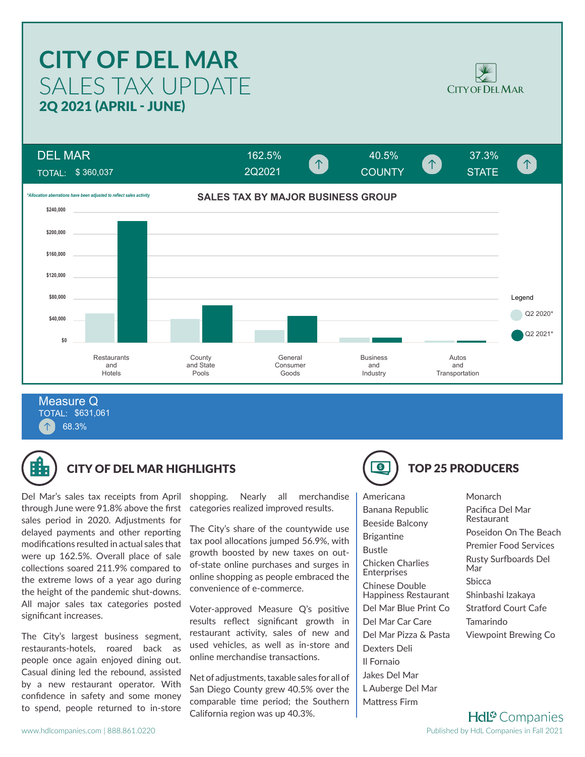# SALES TAX UPDATE **CITY OF DEL MAR** 2Q 2021 (APRIL - JUNE)



DEL MAR  $162.5\%$   $40.5\%$   $37.3\%$  $\uparrow$ COUNTY STATE TOTAL: \$ 360,037 2Q2021**SALES TAX BY MAJOR BUSINESS GROUP** *\*Allocation aberrations have been adjusted to reflect sales activity* **\$240,000 \$200,000 \$160,000 \$120,000 \$80,000** Legend Q2 2020<sup>\*</sup> **\$40,000** Q2 2021\* **\$0 Restaurants County General** Business Autos and State Consumer and and and Hotels Goods **Transportation** Pools **Industry** 

TOTAL: \$631,061 68.3% Measure Q



# CITY OF DEL MAR HIGHLIGHTS (CITY OF DEL MAR HIGHLIGHTS

Del Mar's sales tax receipts from April through June were 91.8% above the first sales period in 2020. Adjustments for delayed payments and other reporting modifications resulted in actual sales that were up 162.5%. Overall place of sale collections soared 211.9% compared to the extreme lows of a year ago during the height of the pandemic shut-downs. All major sales tax categories posted significant increases.

The City's largest business segment, restaurants-hotels, roared back as people once again enjoyed dining out. Casual dining led the rebound, assisted by a new restaurant operator. With confidence in safety and some money to spend, people returned to in-store shopping. Nearly all merchandise categories realized improved results.

The City's share of the countywide use tax pool allocations jumped 56.9%, with growth boosted by new taxes on outof-state online purchases and surges in online shopping as people embraced the convenience of e-commerce.

Voter-approved Measure Q's positive results reflect significant growth in restaurant activity, sales of new and used vehicles, as well as in-store and online merchandise transactions.

Net of adjustments, taxable sales for all of San Diego County grew 40.5% over the comparable time period; the Southern California region was up 40.3%.

Americana Banana Republic Beeside Balcony Brigantine Bustle Chicken Charlies Enterprises Chinese Double Happiness Restaurant Del Mar Blue Print Co Del Mar Car Care Del Mar Pizza & Pasta Dexters Deli Il Fornaio Jakes Del Mar L Auberge Del Mar Mattress Firm

#### Pacifica Del Mar Restaurant Poseidon On The Beach Premier Food Services Rusty Surfboards Del

**Monarch** 

Mar Sbicca Shinbashi Izakaya

Stratford Court Cafe Tamarindo

Viewpoint Brewing Co

**Hdl<sup>®</sup>** Companies Published by HdL Companies in Fall 2021